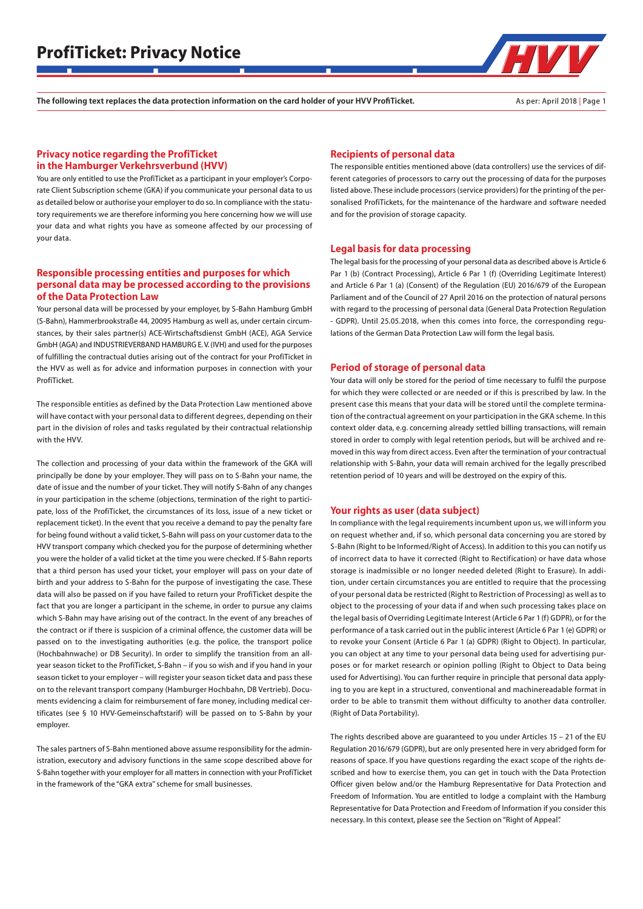The following text replaces the data protection information on the card holder of your HVV ProfiTicket. As per: April 2018 | Page 1

## Privacy notice regarding the ProfiTicket in the Hamburger Verkehrsverbund (HVV)

You are only entitled to use the ProfiTicket as a participant in your employer's Corporate Client Subscription scheme (GKA) if you communicate your personal data to us as detailed below or authorise your employer to do so. In compliance with the statutory requirements we are therefore informing you here concerning how we will use your data and what rights you have as someone affected by our processing of your data.

# Responsible processing entities and purposes for which personal data may be processed according to the provisions of the Data Protection Law

Your personal data will be processed by your employer, by S-Bahn Hamburg GmbH (S-Bahn), Hammerbrookstraße 44, 20095 Hamburg as well as, under certain circumstances, by their sales partner(s) ACE-Wirtschaftsdienst GmbH (ACE), AGA Service GmbH (AGA) and INDUSTRIEVERBAND HAMBURG E. V. (IVH) and used for the purposes of fulfilling the contractual duties arising out of the contract for your ProfiTicket in the HVV as well as for advice and information purposes in connection with your ProfiTicket.

The responsible entities as defined by the Data Protection Law mentioned above will have contact with your personal data to different degrees, depending on their part in the division of roles and tasks regulated by their contractual relationship with the HVV.

The collection and processing of your data within the framework of the GKA will principally be done by your employer. They will pass on to S-Bahn your name, the date of issue and the number of your ticket. They will notify S-Bahn of any changes in your participation in the scheme (objections, termination of the right to participate, loss of the ProfiTicket, the circumstances of its loss, issue of a new ticket or replacement ticket). In the event that you receive a demand to pay the penalty fare for being found without a valid ticket, S-Bahn will pass on your customer data to the HVV transport company which checked you for the purpose of determining whether you were the holder of a valid ticket at the time you were checked. If S-Bahn reports that a third person has used your ticket, your employer will pass on your date of birth and your address to S-Bahn for the purpose of investigating the case. These data will also be passed on if you have failed to return your ProfiTicket despite the fact that you are longer a participant in the scheme, in order to pursue any claims which S-Bahn may have arising out of the contract. In the event of any breaches of the contract or if there is suspicion of a criminal offence, the customer data will be passed on to the investigating authorities (e.g. the police, the transport police (Hochbahnwache) or DB Security). In order to simplify the transition from an allyear season ticket to the ProfiTicket, S-Bahn – if you so wish and if you hand in your season ticket to your employer – will register your season ticket data and pass these on to the relevant transport company (Hamburger Hochbahn, DB Vertrieb). Documents evidencing a claim for reimbursement of fare money, including medical certificates (see § 10 HVV-Gemeinschaftstarif) will be passed on to S-Bahn by your employer.

The sales partners of S-Bahn mentioned above assume responsibility for the administration, executory and advisory functions in the same scope described above for S-Bahn together with your employer for all matters in connection with your ProfiTicket in the framework of the "GKA extra" scheme for small businesses.

### Recipients of personal data

The responsible entities mentioned above (data controllers) use the services of different categories of processors to carry out the processing of data for the purposes listed above. These include processors (service providers) for the printing of the personalised ProfiTickets, for the maintenance of the hardware and software needed and for the provision of storage capacity.

### Legal basis for data processing

The legal basis for the processing of your personal data as described above is Article 6 Par 1 (b) (Contract Processing), Article 6 Par 1 (f) (Overriding Legitimate Interest) and Article 6 Par 1 (a) (Consent) of the Regulation (EU) 2016/679 of the European Parliament and of the Council of 27 April 2016 on the protection of natural persons with regard to the processing of personal data (General Data Protection Regulation - GDPR). Until 25.05.2018, when this comes into force, the corresponding regulations of the German Data Protection Law will form the legal basis.

#### Period of storage of personal data

Your data will only be stored for the period of time necessary to fulfil the purpose for which they were collected or are needed or if this is prescribed by law. In the present case this means that your data will be stored until the complete termination of the contractual agreement on your participation in the GKA scheme. In this context older data, e.g. concerning already settled billing transactions, will remain stored in order to comply with legal retention periods, but will be archived and removed in this way from direct access. Even after the termination of your contractual relationship with S-Bahn, your data will remain archived for the legally prescribed retention period of 10 years and will be destroyed on the expiry of this.

#### Your rights as user (data subject)

In compliance with the legal requirements incumbent upon us, we will inform you on request whether and, if so, which personal data concerning you are stored by S-Bahn (Right to be Informed/Right of Access). In addition to this you can notify us of incorrect data to have it corrected (Right to Rectification) or have data whose storage is inadmissible or no longer needed deleted (Right to Erasure). In addition, under certain circumstances you are entitled to require that the processing of your personal data be restricted (Right to Restriction of Processing) as well as to object to the processing of your data if and when such processing takes place on the legal basis of Overriding Legitimate Interest (Article 6 Par 1 (f) GDPR), or for the performance of a task carried out in the public interest (Article 6 Par 1 (e) GDPR) or to revoke your Consent (Article 6 Par 1 (a) GDPR) (Right to Object). In particular, you can object at any time to your personal data being used for advertising purposes or for market research or opinion polling (Right to Object to Data being used for Advertising). You can further require in principle that personal data applying to you are kept in a structured, conventional and machinereadable format in order to be able to transmit them without difficulty to another data controller. (Right of Data Portability).

The rights described above are guaranteed to you under Articles 15 – 21 of the EU Regulation 2016/679 (GDPR), but are only presented here in very abridged form for reasons of space. If you have questions regarding the exact scope of the rights described and how to exercise them, you can get in touch with the Data Protection Officer given below and/or the Hamburg Representative for Data Protection and Freedom of Information. You are entitled to lodge a complaint with the Hamburg Representative for Data Protection and Freedom of Information if you consider this necessary. In this context, please see the Section on "Right of Appeal".